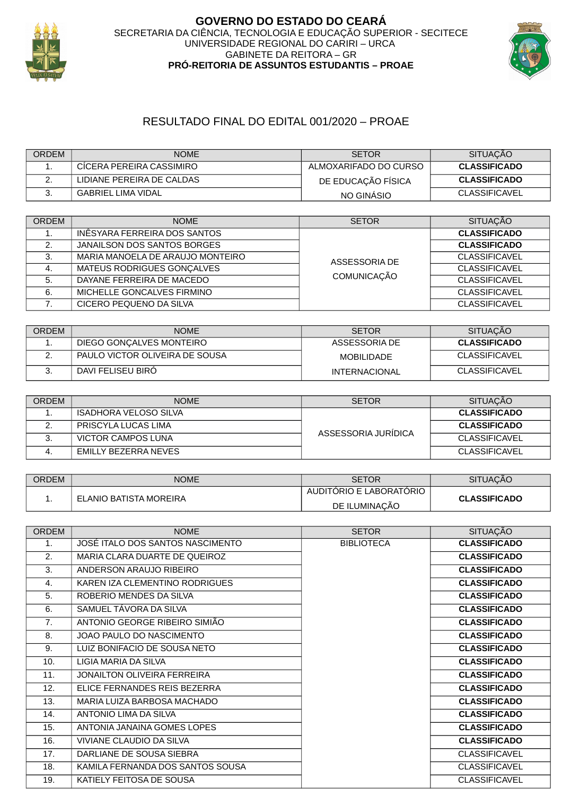

## **GOVERNO DO ESTADO DO CEARÁ** SECRETARIA DA CIÊNCIA, TECNOLOGIA E EDUCAÇÃO SUPERIOR - SECITECE UNIVERSIDADE REGIONAL DO CARIRI – URCA GABINETE DA REITORA – GR **PRÓ-REITORIA DE ASSUNTOS ESTUDANTIS – PROAE**



## RESULTADO FINAL DO EDITAL 001/2020 – PROAE

| <b>ORDEM</b> | <b>NOME</b>               | <b>SETOR</b>          | <b>SITUACAO</b>      |
|--------------|---------------------------|-----------------------|----------------------|
|              | CICERA PEREIRA CASSIMIRO  | ALMOXARIFADO DO CURSO | <b>CLASSIFICADO</b>  |
| - 1          | LIDIANE PEREIRA DE CALDAS | DE EDUCAÇÃO FÍSICA    | <b>CLASSIFICADO</b>  |
|              | <b>GABRIEL LIMA VIDAL</b> | NO GINASIO            | <b>CLASSIFICAVEL</b> |

| <b>ORDEM</b> | <b>NOME</b>                      | <b>SETOR</b>                        | <b>SITUACÃO</b>      |
|--------------|----------------------------------|-------------------------------------|----------------------|
| ⊥.           | INÊSYARA FERREIRA DOS SANTOS     | ASSESSORIA DE<br><b>COMUNICAÇÃO</b> | <b>CLASSIFICADO</b>  |
|              | JANAILSON DOS SANTOS BORGES      |                                     | <b>CLASSIFICADO</b>  |
| 3.           | MARIA MANOELA DE ARAUJO MONTEIRO |                                     | <b>CLASSIFICAVEL</b> |
| 4.           | MATEUS RODRIGUES GONCALVES       |                                     | <b>CLASSIFICAVEL</b> |
| 5.           | DAYANE FERREIRA DE MACEDO        |                                     | <b>CLASSIFICAVEL</b> |
| 6.           | MICHELLE GONCALVES FIRMINO       |                                     | <b>CLASSIFICAVEL</b> |
|              | CICERO PEOUENO DA SILVA          |                                     | <b>CLASSIFICAVEL</b> |

| <b>ORDEM</b> | <b>NOME</b>                    | <b>SETOR</b>         | <b>SITUACAO</b>      |
|--------------|--------------------------------|----------------------|----------------------|
| <b>.</b>     | DIEGO GONCALVES MONTEIRO       | ASSESSORIA DE        | <b>CLASSIFICADO</b>  |
| <u>.</u>     | PAULO VICTOR OLIVEIRA DE SOUSA | MOBILIDADE           | CLASSIFICAVEL        |
|              | DAVI FELISEU BIRÓ              | <b>INTERNACIONAL</b> | <b>CLASSIFICAVEL</b> |

| <b>ORDEM</b> | <b>NOME</b>           | <b>SETOR</b>        | <b>SITUACÃO</b>      |
|--------------|-----------------------|---------------------|----------------------|
|              | ISADHORA VELOSO SILVA | ASSESSORIA JURIDICA | <b>CLASSIFICADO</b>  |
| <u>.</u>     | PRISCYLA LUCAS LIMA   |                     | <b>CLASSIFICADO</b>  |
| ີ<br>J.      | VICTOR CAMPOS LUNA    |                     | <b>CLASSIFICAVEL</b> |
|              | EMILLY BEZERRA NEVES  |                     | <b>CLASSIFICAVEL</b> |

| <b>ORDEM</b> | <b>NOME</b>            | SETOR                   | <b>SITUACAO</b>     |
|--------------|------------------------|-------------------------|---------------------|
|              | ELANIO BATISTA MOREIRA | AUDITORIO E LABORATÓRIO | <b>CLASSIFICADO</b> |
| --           |                        | DE ILUMINAÇÃO           |                     |

| <b>ORDEM</b>   | <b>NOME</b>                        | <b>SETOR</b>      | <b>SITUAÇÃO</b>      |
|----------------|------------------------------------|-------------------|----------------------|
| $\mathbf{1}$ . | JOSÉ ITALO DOS SANTOS NASCIMENTO   | <b>BIBLIOTECA</b> | <b>CLASSIFICADO</b>  |
| 2.             | MARIA CLARA DUARTE DE QUEIROZ      |                   | <b>CLASSIFICADO</b>  |
| 3.             | ANDERSON ARAUJO RIBEIRO            |                   | <b>CLASSIFICADO</b>  |
| 4.             | KAREN IZA CLEMENTINO RODRIGUES     |                   | <b>CLASSIFICADO</b>  |
| 5.             | ROBERIO MENDES DA SILVA            |                   | <b>CLASSIFICADO</b>  |
| 6.             | SAMUEL TÁVORA DA SILVA             |                   | <b>CLASSIFICADO</b>  |
| 7.             | ANTONIO GEORGE RIBEIRO SIMIÃO      |                   | <b>CLASSIFICADO</b>  |
| 8.             | JOAO PAULO DO NASCIMENTO           |                   | <b>CLASSIFICADO</b>  |
| 9.             | LUIZ BONIFACIO DE SOUSA NETO       |                   | <b>CLASSIFICADO</b>  |
| 10.            | LIGIA MARIA DA SILVA               |                   | <b>CLASSIFICADO</b>  |
| 11.            | <b>JONAILTON OLIVEIRA FERREIRA</b> |                   | <b>CLASSIFICADO</b>  |
| 12.            | ELICE FERNANDES REIS BEZERRA       |                   | <b>CLASSIFICADO</b>  |
| 13.            | MARIA LUIZA BARBOSA MACHADO        |                   | <b>CLASSIFICADO</b>  |
| 14.            | ANTONIO LIMA DA SILVA              |                   | <b>CLASSIFICADO</b>  |
| 15.            | ANTONIA JANAINA GOMES LOPES        |                   | <b>CLASSIFICADO</b>  |
| 16.            | VIVIANE CLAUDIO DA SILVA           |                   | <b>CLASSIFICADO</b>  |
| 17.            | DARLIANE DE SOUSA SIEBRA           |                   | <b>CLASSIFICAVEL</b> |
| 18.            | KAMILA FERNANDA DOS SANTOS SOUSA   |                   | <b>CLASSIFICAVEL</b> |
| 19.            | KATIELY FEITOSA DE SOUSA           |                   | <b>CLASSIFICAVEL</b> |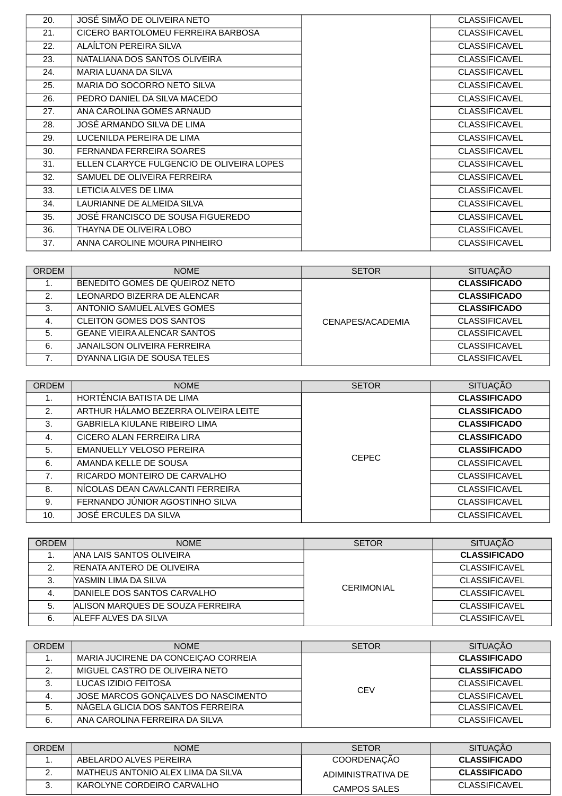| 20. | JOSÉ SIMÃO DE OLIVEIRA NETO               | <b>CLASSIFICAVEL</b> |
|-----|-------------------------------------------|----------------------|
| 21. | CICERO BARTOLOMEU FERREIRA BARBOSA        | <b>CLASSIFICAVEL</b> |
| 22. | ALAILTON PEREIRA SILVA                    | <b>CLASSIFICAVEL</b> |
| 23. | NATALIANA DOS SANTOS OLIVEIRA             | <b>CLASSIFICAVEL</b> |
| 24. | MARIA LUANA DA SILVA                      | <b>CLASSIFICAVEL</b> |
| 25. | MARIA DO SOCORRO NETO SILVA               | <b>CLASSIFICAVEL</b> |
| 26. | PEDRO DANIEL DA SILVA MACEDO              | <b>CLASSIFICAVEL</b> |
| 27. | ANA CAROLINA GOMES ARNAUD                 | <b>CLASSIFICAVEL</b> |
| 28. | JOSÉ ARMANDO SILVA DE LIMA                | <b>CLASSIFICAVEL</b> |
| 29. | LUCENILDA PEREIRA DE LIMA                 | <b>CLASSIFICAVEL</b> |
| 30. | FERNANDA FERREIRA SOARES                  | <b>CLASSIFICAVEL</b> |
| 31. | ELLEN CLARYCE FULGENCIO DE OLIVEIRA LOPES | <b>CLASSIFICAVEL</b> |
| 32. | SAMUEL DE OLIVEIRA FERREIRA               | <b>CLASSIFICAVEL</b> |
| 33. | LETICIA ALVES DE LIMA                     | <b>CLASSIFICAVEL</b> |
| 34. | LAURIANNE DE ALMEIDA SILVA                | <b>CLASSIFICAVEL</b> |
| 35. | JOSÉ FRANCISCO DE SOUSA FIGUEREDO         | <b>CLASSIFICAVEL</b> |
| 36. | THAYNA DE OLIVEIRA LOBO                   | <b>CLASSIFICAVEL</b> |
| 37. | ANNA CAROLINE MOURA PINHEIRO              | <b>CLASSIFICAVEL</b> |

| <b>ORDEM</b> | <b>NOME</b>                        | <b>SETOR</b>     | <b>SITUAÇÃO</b>      |
|--------------|------------------------------------|------------------|----------------------|
|              | BENEDITO GOMES DE QUEIROZ NETO     | CENAPES/ACADEMIA | <b>CLASSIFICADO</b>  |
| 2.           | LEONARDO BIZERRA DE ALENCAR        |                  | <b>CLASSIFICADO</b>  |
| 3.           | ANTONIO SAMUEL ALVES GOMES         |                  | <b>CLASSIFICADO</b>  |
| -4.          | <b>CLEITON GOMES DOS SANTOS</b>    |                  | <b>CLASSIFICAVEL</b> |
| 5.           | <b>GEANE VIEIRA ALENCAR SANTOS</b> |                  | <b>CLASSIFICAVEL</b> |
| 6.           | <b>JANAILSON OLIVEIRA FERREIRA</b> |                  | <b>CLASSIFICAVEL</b> |
|              | DYANNA LIGIA DE SOUSA TELES        |                  | <b>CLASSIFICAVEL</b> |

| <b>ORDEM</b> | <b>NOME</b>                          | <b>SETOR</b> | <b>SITUAÇÃO</b>      |
|--------------|--------------------------------------|--------------|----------------------|
| T.           | HORTÊNCIA BATISTA DE LIMA            | <b>CEPEC</b> | <b>CLASSIFICADO</b>  |
| 2.           | ARTHUR HÁLAMO BEZERRA OLIVEIRA LEITE |              | <b>CLASSIFICADO</b>  |
| 3.           | <b>GABRIELA KIULANE RIBEIRO LIMA</b> |              | <b>CLASSIFICADO</b>  |
| 4.           | CICERO ALAN FERREIRA LIRA            |              | <b>CLASSIFICADO</b>  |
| 5.           | <b>EMANUELLY VELOSO PEREIRA</b>      |              | <b>CLASSIFICADO</b>  |
| 6.           | AMANDA KELLE DE SOUSA                |              | <b>CLASSIFICAVEL</b> |
| 7.           | RICARDO MONTEIRO DE CARVALHO         |              | <b>CLASSIFICAVEL</b> |
| 8.           | NÍCOLAS DEAN CAVALCANTI FERREIRA     |              | <b>CLASSIFICAVEL</b> |
| 9.           | FERNANDO JÚNIOR AGOSTINHO SILVA      |              | <b>CLASSIFICAVEL</b> |
| 10.          | JOSÉ ERCULES DA SILVA                |              | <b>CLASSIFICAVEL</b> |

| <b>ORDEM</b> | <b>NOME</b>                      | <b>SETOR</b>      | <b>SITUACÃO</b>      |
|--------------|----------------------------------|-------------------|----------------------|
|              | ANA LAIS SANTOS OLIVEIRA         | <b>CERIMONIAL</b> | <b>CLASSIFICADO</b>  |
|              | RENATA ANTERO DE OLIVEIRA        |                   | <b>CLASSIFICAVEL</b> |
| З.           | <b>YASMIN LIMA DA SILVA</b>      |                   | <b>CLASSIFICAVEL</b> |
| 4.           | DANIELE DOS SANTOS CARVALHO      |                   | <b>CLASSIFICAVEL</b> |
| 5.           | ALISON MARQUES DE SOUZA FERREIRA |                   | <b>CLASSIFICAVEL</b> |
| 6.           | ALEFF ALVES DA SILVA             |                   | <b>CLASSIFICAVEL</b> |

| <b>ORDEM</b> | <b>NOME</b>                         | <b>SETOR</b> | <b>SITUACÃO</b>      |
|--------------|-------------------------------------|--------------|----------------------|
|              | MARIA JUCIRENE DA CONCEIÇÃO CORREIA | <b>CEV</b>   | <b>CLASSIFICADO</b>  |
| 2            | MIGUEL CASTRO DE OLIVEIRA NETO      |              | <b>CLASSIFICADO</b>  |
| З.           | LUCAS IZIDIO FEITOSA                |              | <b>CLASSIFICAVEL</b> |
|              | JOSE MARCOS GONÇALVES DO NASCIMENTO |              | <b>CLASSIFICAVEL</b> |
| 5.           | NAGELA GLICIA DOS SANTOS FERREIRA   |              | <b>CLASSIFICAVEL</b> |
| 6.           | ANA CAROLINA FERREIRA DA SILVA      |              | <b>CLASSIFICAVEL</b> |

| ORDEM    | NOME.                              | <b>SETOR</b>       | <b>SITUACAO</b>      |
|----------|------------------------------------|--------------------|----------------------|
| <b>.</b> | ABELARDO ALVES PEREIRA             | <b>COORDENAÇAO</b> | <b>CLASSIFICADO</b>  |
| <u>.</u> | MATHEUS ANTONIO ALEX LIMA DA SILVA | ADIMINISTRATIVA DE | <b>CLASSIFICADO</b>  |
|          | KAROLYNE CORDEIRO CARVALHO         | CAMPOS SALES       | <b>CLASSIFICAVEL</b> |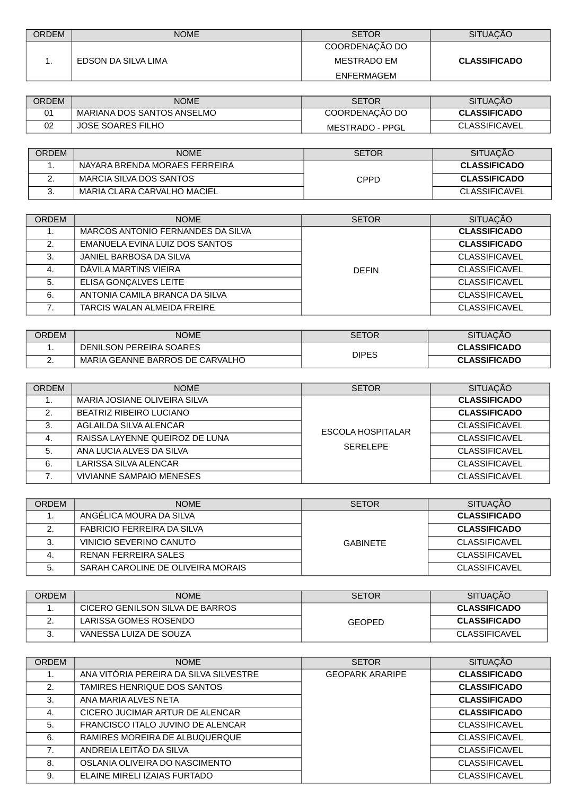| <b>ORDEM</b> | <b>NOME</b>         | <b>SETOR</b>   | <b>SITUACAO</b>     |
|--------------|---------------------|----------------|---------------------|
|              |                     | COORDENAÇÃO DO |                     |
| . .          | EDSON DA SILVA LIMA | MESTRADO EM    | <b>CLASSIFICADO</b> |
|              |                     | ENFERMAGEM     |                     |

| <b>ORDEM</b> | <b>NOME</b>                | <b>SETOR</b>           | <b>SITUACAO</b>      |
|--------------|----------------------------|------------------------|----------------------|
| 01           | MARIANA DOS SANTOS ANSELMO | COORDENAÇÃO DO         | <b>CLASSIFICADO</b>  |
| 02           | JOSE SOARES FILHO          | <b>MESTRADO - PPGL</b> | <b>CLASSIFICAVEL</b> |

| <b>ORDEM</b> | <b>NOME</b>                   | <b>SETOR</b> | <b>SITUACÃO</b>     |
|--------------|-------------------------------|--------------|---------------------|
| . .          | NAYARA BRENDA MORAES FERREIRA | CPPD         | <b>CLASSIFICADO</b> |
| <u>.</u>     | MARCIA SILVA DOS SANTOS       |              | <b>CLASSIFICADO</b> |
| J.           | MARIA CLARA CARVALHO MACIEL   |              | CLASSIFICAVEL       |

| <b>ORDEM</b> | <b>NOME</b>                       | <b>SETOR</b> | <b>SITUACÃO</b>      |
|--------------|-----------------------------------|--------------|----------------------|
|              | MARCOS ANTONIO FERNANDES DA SILVA |              | <b>CLASSIFICADO</b>  |
| 2.           | EMANUELA EVINA LUIZ DOS SANTOS    |              | <b>CLASSIFICADO</b>  |
| З.           | JANIEL BARBOSA DA SILVA           |              | <b>CLASSIFICAVEL</b> |
| 4.           | DAVILA MARTINS VIEIRA             | <b>DEEIN</b> | <b>CLASSIFICAVEL</b> |
| 5.           | ELISA GONCALVES LEITE             |              | <b>CLASSIFICAVEL</b> |
| 6.           | ANTONIA CAMILA BRANCA DA SILVA    |              | <b>CLASSIFICAVEL</b> |
|              | TARCIS WALAN ALMEIDA FREIRE       |              | CLASSIFICAVEL        |

| <b>ORDEM</b> | NOME                            | SETOR        | <b>SITUACÃO</b>     |
|--------------|---------------------------------|--------------|---------------------|
| --           | DENILSON PEREIRA SOARES         | <b>DIPES</b> | <b>CLASSIFICADO</b> |
| <u>.</u>     | MARIA GEANNE BARROS DE CARVALHO |              | <b>CLASSIFICADO</b> |

| <b>ORDEM</b> | <b>NOME</b>                     | <b>SETOR</b>                         | <b>SITUAÇÃO</b>      |
|--------------|---------------------------------|--------------------------------------|----------------------|
| ∸.           | MARIA JOSIANE OLIVEIRA SILVA    | ESCOLA HOSPITALAR<br><b>SERFLEPE</b> | <b>CLASSIFICADO</b>  |
| 2.           | BEATRIZ RIBEIRO LUCIANO         |                                      | <b>CLASSIFICADO</b>  |
| 3.           | AGLAILDA SILVA ALENCAR          |                                      | <b>CLASSIFICAVEL</b> |
| -4.          | RAISSA LAYENNE OUEIROZ DE LUNA  |                                      | <b>CLASSIFICAVEL</b> |
| 5.           | ANA LUCIA ALVES DA SILVA        |                                      | <b>CLASSIFICAVEL</b> |
| 6.           | _ARISSA SILVA ALENCAR           |                                      | <b>CLASSIFICAVEL</b> |
|              | <b>VIVIANNE SAMPAIO MENESES</b> |                                      | <b>CLASSIFICAVEL</b> |

| ORDEM | <b>NOME</b>                       | <b>SETOR</b> | <b>SITUACÃO</b>      |
|-------|-----------------------------------|--------------|----------------------|
|       | ANGÉLICA MOURA DA SILVA           | GABINETE     | <b>CLASSIFICADO</b>  |
|       | <b>FABRICIO FERREIRA DA SILVA</b> |              | <b>CLASSIFICADO</b>  |
|       | VINICIO SEVERINO CANUTO           |              | <b>CLASSIFICAVEL</b> |
|       | RENAN FERREIRA SALES              |              | <b>CLASSIFICAVEL</b> |
|       | SARAH CAROLINE DE OLIVEIRA MORAIS |              | <b>CLASSIFICAVEL</b> |

| ORDEM | <b>NOME</b>                     | <b>SETOR</b>  | <b>SITUACAO</b>      |
|-------|---------------------------------|---------------|----------------------|
| a .   | CICERO GENILSON SILVA DE BARROS | <b>GEOPED</b> | <b>CLASSIFICADO</b>  |
|       | LARISSA GOMES ROSENDO           |               | <b>CLASSIFICADO</b>  |
| J.    | VANESSA LUIZA DE SOUZA          |               | <b>CLASSIFICAVEL</b> |

| <b>ORDEM</b> | <b>NOME</b>                            | <b>SETOR</b>           | <b>SITUAÇÃO</b>      |
|--------------|----------------------------------------|------------------------|----------------------|
|              | ANA VITÓRIA PEREIRA DA SILVA SILVESTRE | <b>GEOPARK ARARIPE</b> | <b>CLASSIFICADO</b>  |
| 2.           | TAMIRES HENRIOUE DOS SANTOS            |                        | <b>CLASSIFICADO</b>  |
| 3.           | ANA MARIA ALVES NETA                   |                        | <b>CLASSIFICADO</b>  |
| 4.           | CICERO JUCIMAR ARTUR DE ALENCAR        |                        | <b>CLASSIFICADO</b>  |
| 5.           | FRANCISCO ITALO JUVINO DE ALENCAR      |                        | <b>CLASSIFICAVEL</b> |
| 6.           | RAMIRES MOREIRA DE ALBUQUERQUE         |                        | <b>CLASSIFICAVEL</b> |
| 7.           | ANDREIA LEITÃO DA SILVA                |                        | <b>CLASSIFICAVEL</b> |
| 8.           | OSLANIA OLIVEIRA DO NASCIMENTO         |                        | <b>CLASSIFICAVEL</b> |
| 9.           | ELAINE MIRELI IZAIAS FURTADO           |                        | <b>CLASSIFICAVEL</b> |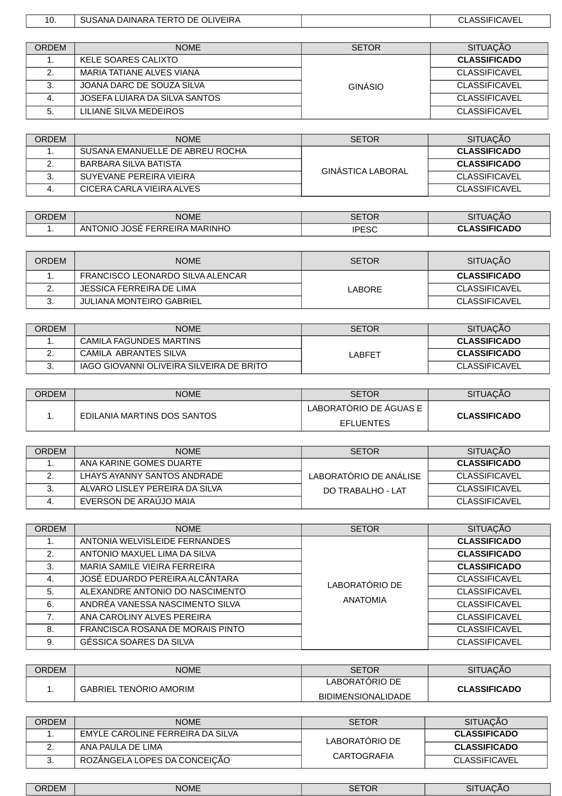| 10. | DE<br>`^IN⊾<br>^N⊶<br>$\mathbf{v}$<br>ו ר<br>אזי<br>$J$ $\sim$<br>ATP | $\sqrt{2}$<br><b>UAVF</b> |
|-----|-----------------------------------------------------------------------|---------------------------|
|     |                                                                       |                           |

| ORDEM | <b>NOME</b>                   | <b>SETOR</b> | <b>SITUACÃO</b>      |
|-------|-------------------------------|--------------|----------------------|
|       | KELE SOARES CALIXTO           |              | <b>CLASSIFICADO</b>  |
|       | MARIA TATIANE ALVES VIANA     |              | <b>CLASSIFICAVEL</b> |
|       | JOANA DARC DE SOUZA SILVA     | GINÁSIO      | <b>CLASSIFICAVEL</b> |
|       | JOSEFA LUIARA DA SILVA SANTOS |              | <b>CLASSIFICAVEL</b> |
|       | LILIANE SILVA MEDEIROS        |              | <b>CLASSIFICAVEL</b> |

| ORDEM    | <b>NOME</b>                     | <b>SETOR</b>      | <b>SITUACÃO</b>      |
|----------|---------------------------------|-------------------|----------------------|
| <b>.</b> | SUSANA EMANUELLE DE ABREU ROCHA | GINASTICA LABORAL | <b>CLASSIFICADO</b>  |
|          | BARBARA SILVA BATISTA           |                   | <b>CLASSIFICADO</b>  |
|          | SUYEVANE PEREIRA VIEIRA         |                   | <b>CLASSIFICAVEL</b> |
|          | CICERA CARLA VIEIRA ALVES       |                   | <b>CLASSIFICAVEL</b> |

| ORDEM | <b>NOME</b>                                                 | $\sim$ $\sim$ $\sim$ $\sim$<br>SEIOR | <b>AITI</b><br><b>UACAO</b><br>۱۲ اگ |
|-------|-------------------------------------------------------------|--------------------------------------|--------------------------------------|
| --    | <b>MARINHO</b><br><b>ANTONIO</b><br><b>JOSE</b><br>FERREIRA | IDECC<br>'HESC                       | <b>FICADO</b><br>~<br>חככו           |

| ORDEM    | <b>NOME</b>                      | <b>SETOR</b> | <b>SITUACÃO</b>      |
|----------|----------------------------------|--------------|----------------------|
|          | FRANCISCO LEONARDO SILVA ALENCAR | LABORE       | <b>CLASSIFICADO</b>  |
| <u>.</u> | JESSICA FERREIRA DE LIMA         |              | CLASSIFICAVEL        |
|          | JULIANA MONTEIRO GABRIEL         |              | <b>CLASSIFICAVEL</b> |

| <b>ORDEM</b> | <b>NOME</b>                              | <b>SETOR</b> | <b>SITUACAO</b>     |
|--------------|------------------------------------------|--------------|---------------------|
| . .          | CAMILA FAGUNDES MARTINS                  |              | <b>CLASSIFICADO</b> |
|              | CAMILA ABRANTES SILVA                    | _ABFET       | <b>CLASSIFICADO</b> |
|              | IAGO GIOVANNI OLIVEIRA SILVEIRA DE BRITO |              | CLASSIFICAVEL       |

| <b>ORDEM</b> | <b>NOME</b>                 | SETOR                  | <b>SITUACAO</b>     |
|--------------|-----------------------------|------------------------|---------------------|
|              |                             | LABORATÓRIO DE ÁGUAS E |                     |
| . .          | EDILANIA MARTINS DOS SANTOS | <b>EFLUENTES</b>       | <b>CLASSIFICADO</b> |

| ORDEM | <b>NOME</b>                    | <b>SETOR</b>           | <b>SITUACÃO</b>      |
|-------|--------------------------------|------------------------|----------------------|
|       | ANA KARINE GOMES DUARTE        |                        | <b>CLASSIFICADO</b>  |
|       | LHAYS AYANNY SANTOS ANDRADE    | LABORATÓRIO DE ANÁLISE | <b>CLASSIFICAVEL</b> |
|       | ALVARO LISLEY PEREIRA DA SILVA | DO TRABALHO - LAT      | <b>CLASSIFICAVEL</b> |
|       | EVERSON DE ARAÚJO MAIA         |                        | <b>CLASSIFICAVEL</b> |

| <b>ORDEM</b> | <b>NOME</b>                      | <b>SETOR</b>    | <b>SITUAÇÃO</b>      |
|--------------|----------------------------------|-----------------|----------------------|
|              | ANTONIA WELVISLEIDE FERNANDES    |                 | <b>CLASSIFICADO</b>  |
| 2.           | ANTONIO MAXUEL LIMA DA SILVA     |                 | <b>CLASSIFICADO</b>  |
| 3.           | MARIA SAMILE VIEIRA FERREIRA     | LABORATÓRIO DE  | <b>CLASSIFICADO</b>  |
| 4.           | JOSÉ EDUARDO PEREIRA ALCÂNTARA   |                 | <b>CLASSIFICAVEL</b> |
| 5.           | ALEXANDRE ANTONIO DO NASCIMENTO  |                 | <b>CLASSIFICAVEL</b> |
| 6.           | ANDREA VANESSA NASCIMENTO SILVA  | <b>ANATOMIA</b> | <b>CLASSIFICAVEL</b> |
| 7.           | ANA CAROLINY ALVES PEREIRA       |                 | <b>CLASSIFICAVEL</b> |
| 8.           | FRANCISCA ROSANA DE MORAIS PINTO |                 | <b>CLASSIFICAVEL</b> |
| 9.           | GÉSSICA SOARES DA SILVA          |                 | <b>CLASSIFICAVEL</b> |

| ORDEM | <b>NOME</b>                   | SETOR                     | <b>SITUACAO</b>     |
|-------|-------------------------------|---------------------------|---------------------|
| --    | <b>GABRIEL TENORIO AMORIM</b> | LABORATORIO DE            | <b>CLASSIFICADO</b> |
|       |                               | <b>BIDIMENSIONALIDADE</b> |                     |

| ORDEM    | <b>NOME</b>                      | <b>SETOR</b>                  | <b>SITUACÃO</b>     |
|----------|----------------------------------|-------------------------------|---------------------|
| <b>.</b> | EMYLE CAROLINE FERREIRA DA SILVA | LABORATÓRIO DE<br>CARTOGRAFIA | <b>CLASSIFICADO</b> |
|          | ANA PAULA DE LIMA                |                               | <b>CLASSIFICADO</b> |
|          | ROZÂNGELA LOPES DA CONCEIÇÃO     |                               | CLASSIFICAVEL       |

| - - - - - - - - | 10.11<br>NOME<br>$\cdot\cdot\cdot$ | $- - - - - -$ |  |
|-----------------|------------------------------------|---------------|--|
|-----------------|------------------------------------|---------------|--|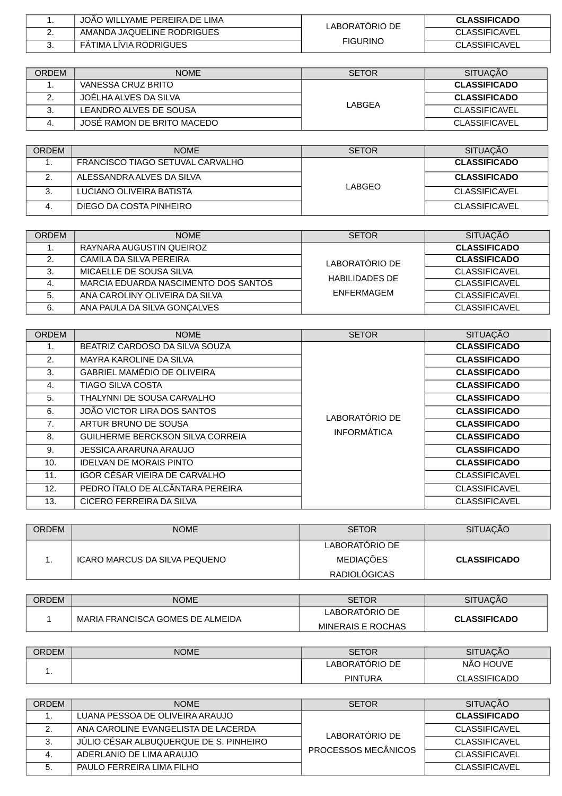| . . | JOÃO WILLYAME PEREIRA DE LIMA | LABORATORIO DE  | <b>CLASSIFICADO</b> |
|-----|-------------------------------|-----------------|---------------------|
|     | AMANDA JAQUELINE RODRIGUES    |                 | CLASSIFICAVEL       |
| J.  | FATIMA LIVIA RODRIGUES        | <b>FIGURINO</b> | CLASSIFICAVEL       |

| ORDEM | <b>NOME</b>                | <b>SETOR</b> | <b>SITUACÃO</b>      |
|-------|----------------------------|--------------|----------------------|
|       | VANESSA CRUZ BRITO         | I ABGFA      | <b>CLASSIFICADO</b>  |
|       | JOËLHA ALVES DA SILVA      |              | <b>CLASSIFICADO</b>  |
|       | LEANDRO ALVES DE SOUSA     |              | <b>CLASSIFICAVEL</b> |
|       | JOSE RAMON DE BRITO MACEDO |              | <b>CLASSIFICAVEL</b> |

| ORDEM    | <b>NOME</b>                      | <b>SETOR</b> | <b>SITUACÃO</b>      |
|----------|----------------------------------|--------------|----------------------|
| <b>.</b> | FRANCISCO TIAGO SETUVAL CARVALHO | LABGEO       | <b>CLASSIFICADO</b>  |
|          | ALESSANDRA ALVES DA SILVA        |              | <b>CLASSIFICADO</b>  |
| .ت       | LUCIANO OLIVEIRA BATISTA         |              | <b>CLASSIFICAVEL</b> |
|          | DIEGO DA COSTA PINHEIRO          |              | <b>CLASSIFICAVEL</b> |

| <b>ORDEM</b> | <b>NOMF</b>                          | <b>SETOR</b>          | <b>SITUACÃO</b>      |
|--------------|--------------------------------------|-----------------------|----------------------|
| <b>.</b>     | RAYNARA AUGUSTIN QUEIROZ             |                       | <b>CLASSIFICADO</b>  |
|              | CAMILA DA SILVA PEREIRA              | LABORATÓRIO DE        | <b>CLASSIFICADO</b>  |
|              | MICAELLE DE SOUSA SILVA              |                       | <b>CLASSIFICAVEL</b> |
| 4.           | MARCIA EDUARDA NASCIMENTO DOS SANTOS | <b>HABILIDADES DE</b> | <b>CLASSIFICAVEL</b> |
|              | ANA CAROLINY OLIVEIRA DA SILVA       | FNFFRMAGFM            | <b>CLASSIFICAVEL</b> |
|              | ANA PAULA DA SILVA GONCALVES         |                       | <b>CLASSIFICAVEL</b> |

| <b>ORDEM</b> | <b>NOME</b>                             | <b>SETOR</b>       | <b>SITUAÇÃO</b>      |
|--------------|-----------------------------------------|--------------------|----------------------|
| 1.           | BEATRIZ CARDOSO DA SILVA SOUZA          |                    | <b>CLASSIFICADO</b>  |
| 2.           | MAYRA KAROLINE DA SILVA                 |                    | <b>CLASSIFICADO</b>  |
| 3.           | <b>GABRIEL MAMÉDIO DE OLIVEIRA</b>      |                    | <b>CLASSIFICADO</b>  |
| 4.           | TIAGO SILVA COSTA                       |                    | <b>CLASSIFICADO</b>  |
| 5.           | THALYNNI DE SOUSA CARVALHO              | LABORATÓRIO DE     | <b>CLASSIFICADO</b>  |
| 6.           | JOÃO VICTOR LIRA DOS SANTOS             |                    | <b>CLASSIFICADO</b>  |
| 7.           | ARTUR BRUNO DE SOUSA                    |                    | <b>CLASSIFICADO</b>  |
| 8.           | <b>GUILHERME BERCKSON SILVA CORREIA</b> | <b>INFORMÁTICA</b> | <b>CLASSIFICADO</b>  |
| 9.           | JESSICA ARARUNA ARAUJO                  |                    | <b>CLASSIFICADO</b>  |
| 10.          | <b>IDELVAN DE MORAIS PINTO</b>          |                    | <b>CLASSIFICADO</b>  |
| 11.          | IGOR CESAR VIEIRA DE CARVALHO           |                    | <b>CLASSIFICAVEL</b> |
| 12.          | PEDRO ÍTALO DE ALCÂNTARA PEREIRA        |                    | <b>CLASSIFICAVEL</b> |
| 13.          | CICERO FERREIRA DA SILVA                |                    | <b>CLASSIFICAVEL</b> |

| <b>ORDEM</b> | <b>NOME</b>                   | <b>SETOR</b>        | <b>SITUACÃO</b>     |
|--------------|-------------------------------|---------------------|---------------------|
|              | ICARO MARCUS DA SILVA PEOUENO | LABORATÓRIO DE      |                     |
|              |                               | MEDIAÇÕES           | <b>CLASSIFICADO</b> |
|              |                               | <b>RADIOLÓGICAS</b> |                     |

| <b>ORDEM</b> | <b>NOME</b>                      | <b>SETOR</b>      | <b>SITUACAO</b>     |
|--------------|----------------------------------|-------------------|---------------------|
|              | MARIA FRANCISCA GOMES DE ALMEIDA | LABORATORIO DE    | <b>CLASSIFICADO</b> |
|              |                                  | MINERAIS E ROCHAS |                     |

| <b>ORDEM</b> | <b>NOME</b> | <b>SETOR</b>   | <b>SITUACÃO</b>               |
|--------------|-------------|----------------|-------------------------------|
|              |             | LABORATÓRIO DE | NÃO HOUVE                     |
| --           |             | <b>PINTURA</b> | <b>CLASSIFICADO</b><br>$\sim$ |

| ORDEM    | <b>NOMF</b>                            | <b>SETOR</b>                          | <b>SITUACÃO</b>      |
|----------|----------------------------------------|---------------------------------------|----------------------|
| <b>.</b> | LUANA PESSOA DE OLIVEIRA ARAUJO        | LABORATÓRIO DE<br>PROCESSOS MECÂNICOS | <b>CLASSIFICADO</b>  |
|          | ANA CAROLINE EVANGELISTA DE LACERDA    |                                       | <b>CLASSIFICAVEL</b> |
| 3.       | JÚLIO CÉSAR ALBUQUERQUE DE S. PINHEIRO |                                       | <b>CLASSIFICAVEL</b> |
|          | ADERLANIO DE LIMA ARAUJO               |                                       | <b>CLASSIFICAVEL</b> |
| 5.       | PAULO FERREIRA LIMA FILHO              |                                       | <b>CLASSIFICAVEL</b> |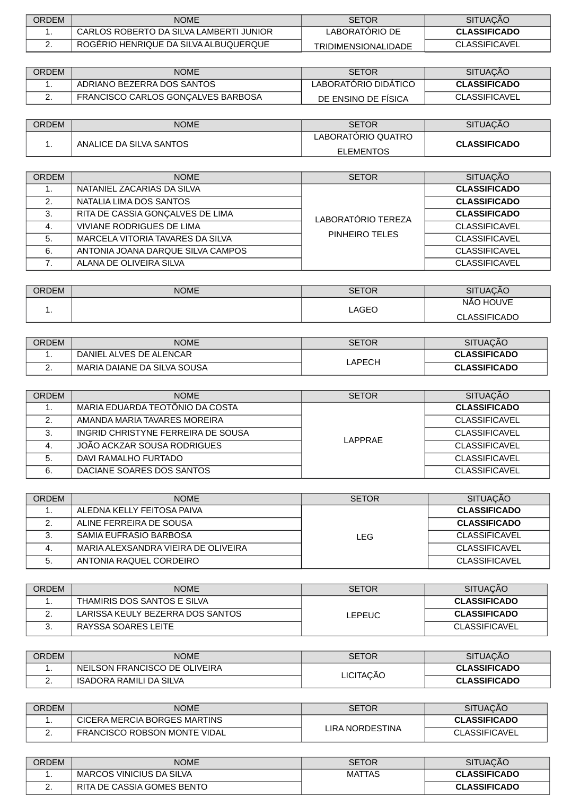| <b>ORDEM</b> | <b>NOME</b>                             | <b>SETOR</b>               | <b>SITUACAO</b>     |
|--------------|-----------------------------------------|----------------------------|---------------------|
| . .          | CARLOS ROBERTO DA SILVA LAMBERTI JUNIOR | LABORATORIO DE             | <b>CLASSIFICADO</b> |
| <u>.</u>     | ROGERIO HENRIQUE DA SILVA ALBUQUERQUE   | <b>TRIDIMENSIONALIDADE</b> | CLASSIFICAVEL       |

| <b>ORDEM</b> | <b>NOME</b>                        | <b>SETOR</b>         | <b>SITUACAO</b>     |
|--------------|------------------------------------|----------------------|---------------------|
| . .          | ADRIANO BEZERRA DOS SANTOS         | LABORATORIO DIDATICO | <b>CLASSIFICADO</b> |
|              | FRANCISCO CARLOS GONCALVES BARBOSA | DE ENSINO DE FISICA  | CLASSIFICAVEL       |

| <b>ORDEM</b> | <b>NOME</b>             | <b>SETOR</b>       | <b>SITUACÃO</b>     |
|--------------|-------------------------|--------------------|---------------------|
|              | ANALICE DA SILVA SANTOS | LABORATORIO QUATRO | <b>CLASSIFICADO</b> |
| --           |                         | <b>ELEMENTOS</b>   |                     |

| <b>ORDEM</b> | <b>NOME</b>                       | <b>SETOR</b>                         | <b>SITUAÇÃO</b>      |
|--------------|-----------------------------------|--------------------------------------|----------------------|
| ᆠ            | NATANIEL ZACARIAS DA SILVA        | LABORATÓRIO TEREZA<br>PINHEIRO TELES | <b>CLASSIFICADO</b>  |
| 2.           | NATALIA LIMA DOS SANTOS           |                                      | <b>CLASSIFICADO</b>  |
| 3.           | RITA DE CASSIA GONÇALVES DE LIMA  |                                      | <b>CLASSIFICADO</b>  |
| 4.           | VIVIANE RODRIGUES DE LIMA         |                                      | <b>CLASSIFICAVEL</b> |
| 5.           | MARCELA VITORIA TAVARES DA SILVA  |                                      | <b>CLASSIFICAVEL</b> |
| 6.           | ANTONIA JOANA DARQUE SILVA CAMPOS |                                      | <b>CLASSIFICAVEL</b> |
|              | ALANA DE OLIVEIRA SILVA           |                                      | <b>CLASSIFICAVEL</b> |

| ORDEM | <b>NOME</b> | <b>SETOR</b> | <b>SITUACÃO</b>               |
|-------|-------------|--------------|-------------------------------|
|       |             | LAGEO        | <b>VO HOUVE</b><br><b>NÃO</b> |
| --    |             | ___          | <b>CLASSIFICADO</b>           |

| <b>ORDEM</b> | NOME                        | SETOR  | <b>SITUACAO</b>     |
|--------------|-----------------------------|--------|---------------------|
| --           | DANIEL ALVES DE ALENCAR     | LAPECH | <b>CLASSIFICADO</b> |
| <u>.</u>     | MARIA DAIANE DA SILVA SOUSA |        | <b>CLASSIFICADO</b> |

| <b>ORDEM</b> | <b>NOMF</b>                        | <b>SETOR</b> | <b>SITUACÃO</b>      |
|--------------|------------------------------------|--------------|----------------------|
|              | MARIA EDUARDA TEOTÔNIO DA COSTA    | I APPRAF     | <b>CLASSIFICADO</b>  |
|              | AMANDA MARIA TAVARES MOREIRA       |              | <b>CLASSIFICAVEL</b> |
| 3            | INGRID CHRISTYNE FERREIRA DE SOUSA |              | <b>CLASSIFICAVEL</b> |
| 4.           | JOÃO ACKZAR SOUSA RODRIGUES        |              | <b>CLASSIFICAVEL</b> |
| 5.           | DAVI RAMALHO FURTADO               |              | <b>CLASSIFICAVEL</b> |
| 6.           | DACIANE SOARES DOS SANTOS          |              | <b>CLASSIFICAVEL</b> |

| <b>ORDEM</b> | <b>NOMF</b>                         | <b>SETOR</b> | <b>SITUACÃO</b>      |
|--------------|-------------------------------------|--------------|----------------------|
|              | ALEDNA KELLY FEITOSA PAIVA          | LEG          | <b>CLASSIFICADO</b>  |
|              | ALINE FERREIRA DE SOUSA             |              | <b>CLASSIFICADO</b>  |
|              | SAMIA EUFRASIO BARBOSA              |              | <b>CLASSIFICAVEL</b> |
| 4.           | MARIA ALEXSANDRA VIEIRA DE OLIVEIRA |              | <b>CLASSIFICAVEL</b> |
|              | ANTONIA RAQUEL CORDEIRO             |              | <b>CLASSIFICAVEL</b> |

| <b>ORDEM</b> | <b>NOME</b>                      | <b>SETOR</b> | <b>SITUACAO</b>     |
|--------------|----------------------------------|--------------|---------------------|
| --           | THAMIRIS DOS SANTOS E SILVA      | LEPEUC       | <b>CLASSIFICADO</b> |
| <u>.</u>     | LARISSA KEULY BEZERRA DOS SANTOS |              | <b>CLASSIFICADO</b> |
|              | RAYSSA SOARES LEITE              |              | CLASSIFICAVEL       |

| <b>ORDEM</b> | <b>NOME</b>                   | <b>SETOR</b>     | <b>SITUACÃO</b>     |
|--------------|-------------------------------|------------------|---------------------|
| --           | NEILSON FRANCISCO DE OLIVEIRA |                  | <b>CLASSIFICADO</b> |
|              | ISADORA RAMILI DA SILVA       | <b>LICITACAO</b> | <b>CLASSIFICADO</b> |

| <b>ORDEM</b> | <b>NOME</b>                  | SETOR           | <b>SITUACAO</b>      |
|--------------|------------------------------|-----------------|----------------------|
| --           | CICERA MERCIA BORGES MARTINS |                 | <b>CLASSIFICADO</b>  |
|              | FRANCISCO ROBSON MONTE VIDAL | LIRA NORDESTINA | <b>CLASSIFICAVEL</b> |

| <b>ORDEM</b> | <b>NOME</b>                | SETOR         | <b>SITUACAO</b>     |
|--------------|----------------------------|---------------|---------------------|
| <b>.</b>     | MARCOS VINICIUS DA SILVA   | <b>MATTAS</b> | <b>CLASSIFICADO</b> |
|              | RITA DE CASSIA GOMES BENTO |               | <b>CLASSIFICADO</b> |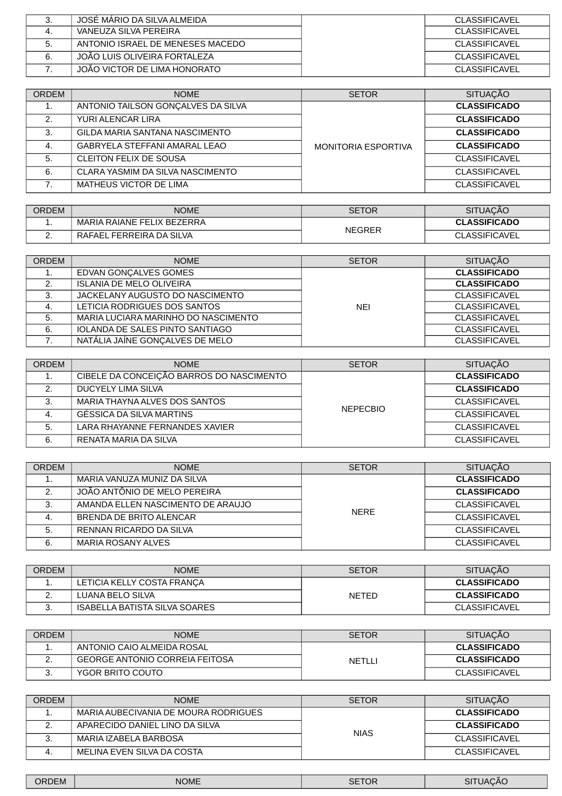|    | JOSE MARIO DA SILVA ALMEIDA      | <b>CLASSIFICAVEL</b> |
|----|----------------------------------|----------------------|
| 4. | VANEUZA SILVA PEREIRA            | <b>CLASSIFICAVEL</b> |
|    | ANTONIO ISRAEL DE MENESES MACEDO | <b>CLASSIFICAVEL</b> |
|    | JOÃO LUIS OLIVEIRA FORTALEZA     | <b>CLASSIFICAVEL</b> |
|    | JOÃO VICTOR DE LIMA HONORATO     | <b>CLASSIFICAVEL</b> |

| <b>ORDEM</b> | <b>NOME</b>                        | <b>SETOR</b>               | <b>SITUAÇÃO</b>      |
|--------------|------------------------------------|----------------------------|----------------------|
| ᅭ.           | ANTONIO TAILSON GONÇALVES DA SILVA |                            | <b>CLASSIFICADO</b>  |
| 2.           | YURI ALENCAR LIRA                  |                            | <b>CLASSIFICADO</b>  |
| 3.           | GILDA MARIA SANTANA NASCIMENTO     |                            | <b>CLASSIFICADO</b>  |
| 4.           | GABRYELA STEFFANI AMARAL LEAO      | <b>MONITORIA ESPORTIVA</b> | <b>CLASSIFICADO</b>  |
| 5.           | <b>CLEITON FELIX DE SOUSA</b>      |                            | <b>CLASSIFICAVEL</b> |
| 6.           | CLARA YASMIM DA SILVA NASCIMENTO   |                            | <b>CLASSIFICAVEL</b> |
|              | MATHEUS VICTOR DE LIMA             |                            | <b>CLASSIFICAVEL</b> |

| <b>ORDEM</b> | <b>NOME</b>                | SETOR         | <b>SITUACÃO</b>      |
|--------------|----------------------------|---------------|----------------------|
| . .          | MARIA RAIANE FELIX BEZERRA |               | <b>CLASSIFICADO</b>  |
| <u>.</u>     | RAFAEL FERREIRA DA SILVA   | <b>NEGRER</b> | <b>CLASSIFICAVEL</b> |

| <b>ORDEM</b> | <b>NOME</b>                            | <b>SETOR</b> | <b>SITUACÃO</b>      |
|--------------|----------------------------------------|--------------|----------------------|
|              | EDVAN GONCALVES GOMES                  |              | <b>CLASSIFICADO</b>  |
| 2.           | <b>ISLANIA DE MELO OLIVEIRA</b>        |              | <b>CLASSIFICADO</b>  |
| 3.           | JACKELANY AUGUSTO DO NASCIMENTO        |              | <b>CLASSIFICAVEL</b> |
|              | LETICIA RODRIGUES DOS SANTOS           | <b>NEI</b>   | <b>CLASSIFICAVEL</b> |
| 5.           | MARIA LUCIARA MARINHO DO NASCIMENTO    |              | <b>CLASSIFICAVEL</b> |
| 6.           | <b>IOLANDA DE SALES PINTO SANTIAGO</b> |              | <b>CLASSIFICAVEL</b> |
|              | NATALIA JAINE GONCALVES DE MELO        |              | <b>CLASSIFICAVEL</b> |

| <b>ORDEM</b> | <b>NOME</b>                              | <b>SETOR</b>    | <b>SITUACÃO</b>      |
|--------------|------------------------------------------|-----------------|----------------------|
|              | CIBELE DA CONCEIÇÃO BARROS DO NASCIMENTO | <b>NEPECBIO</b> | <b>CLASSIFICADO</b>  |
|              | DUCYELY LIMA SILVA                       |                 | <b>CLASSIFICADO</b>  |
| ິ            | MARIA THAYNA ALVES DOS SANTOS            |                 | <b>CLASSIFICAVEL</b> |
| 4.           | GÉSSICA DA SILVA MARTINS                 |                 | <b>CLASSIFICAVEL</b> |
| 5.           | LARA RHAYANNE FERNANDES XAVIER           |                 | <b>CLASSIFICAVEL</b> |
| 6.           | RENATA MARIA DA SILVA                    |                 | <b>CLASSIFICAVEL</b> |

| <b>ORDEM</b> | <b>NOME</b>                       | <b>SETOR</b> | <b>SITUACÃO</b>      |
|--------------|-----------------------------------|--------------|----------------------|
|              | MARIA VANUZA MUNIZ DA SILVA       | <b>NERE</b>  | <b>CLASSIFICADO</b>  |
|              | JOÃO ANTÔNIO DE MELO PEREIRA      |              | <b>CLASSIFICADO</b>  |
| ີ            | AMANDA ELLEN NASCIMENTO DE ARAUJO |              | <b>CLASSIFICAVEL</b> |
| 4.           | BRENDA DE BRITO ALENCAR           |              | <b>CLASSIFICAVEL</b> |
| 5.           | RENNAN RICARDO DA SILVA           |              | <b>CLASSIFICAVEL</b> |
| 6.           | MARIA ROSANY ALVES                |              | <b>CLASSIFICAVEL</b> |

| <b>ORDEM</b> | <b>NOME</b>                   | <b>SETOR</b> | <b>SITUACAO</b>     |
|--------------|-------------------------------|--------------|---------------------|
|              | LETICIA KELLY COSTA FRANCA    | <b>NETED</b> | <b>CLASSIFICADO</b> |
|              | LUANA BELO SILVA              |              | <b>CLASSIFICADO</b> |
|              | ISABELLA BATISTA SILVA SOARES |              | CLASSIFICAVEL       |

| <b>ORDEM</b> | <b>NOME</b>                           | <b>SETOR</b>  | <b>SITUACAO</b>     |
|--------------|---------------------------------------|---------------|---------------------|
|              | ANTONIO CAIO ALMEIDA ROSAL            | <b>NETLLI</b> | <b>CLASSIFICADO</b> |
| <u>.</u>     | <b>GEORGE ANTONIO CORREIA FEITOSA</b> |               | <b>CLASSIFICADO</b> |
|              | YGOR BRITO COUTO                      |               | CLASSIFICAVEL       |

| <b>ORDEM</b>                                                                                                                                                                                                                         | <b>NOME</b>                          | <b>SETOR</b> | <b>SITUACAO</b>      |
|--------------------------------------------------------------------------------------------------------------------------------------------------------------------------------------------------------------------------------------|--------------------------------------|--------------|----------------------|
| a 1919. projekt 1919.<br>Drugi projekt 1929. projekt 1929. projekt 1929. projekt 1929. projekt 1929. projekt 1929. projekt 1929. projek<br>Drugi projekt 1929. projekt 1929. projekt 1929. projekt 1929. projekt 1929. projekt 1929. | MARIA AUBECIVANIA DE MOURA RODRIGUES | <b>NIAS</b>  | <b>CLASSIFICADO</b>  |
| <u>.</u>                                                                                                                                                                                                                             | APARECIDO DANIEL LINO DA SILVA       |              | <b>CLASSIFICADO</b>  |
|                                                                                                                                                                                                                                      | MARIA IZABELA BARBOSA                |              | <b>CLASSIFICAVEL</b> |
|                                                                                                                                                                                                                                      | MELINA EVEN SILVA DA COSTA           |              | <b>CLASSIFICAVEL</b> |

| JRDEM | <b>NOME</b><br>$\sim$ | $\sim$ $\sim$ $\sim$ $\sim$<br>_______ | $\sim$<br>$-1$<br>___ |
|-------|-----------------------|----------------------------------------|-----------------------|
|       |                       |                                        |                       |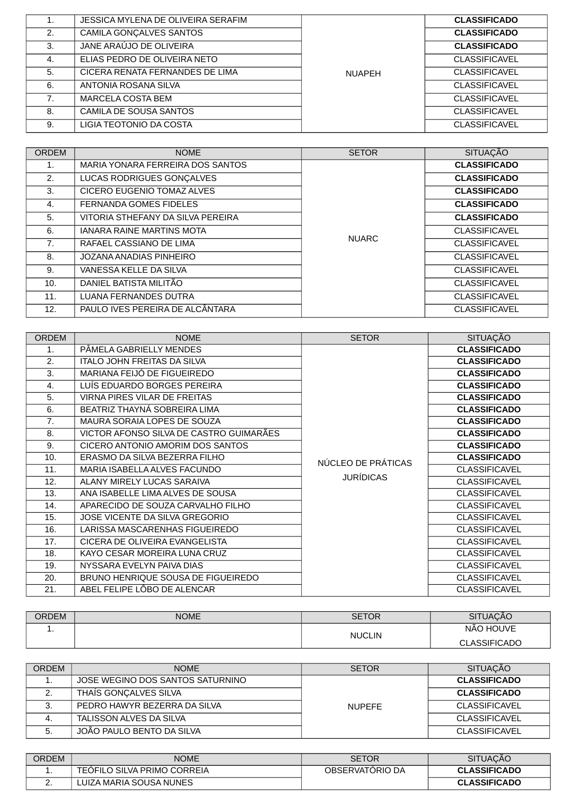|    | JESSICA MYLENA DE OLIVEIRA SERAFIM |               | <b>CLASSIFICADO</b>  |
|----|------------------------------------|---------------|----------------------|
| 2. | CAMILA GONCALVES SANTOS            |               | <b>CLASSIFICADO</b>  |
| 3. | JANE ARAÚJO DE OLIVEIRA            |               | <b>CLASSIFICADO</b>  |
| 4. | ELIAS PEDRO DE OLIVEIRA NETO       |               | <b>CLASSIFICAVEL</b> |
| 5. | CICERA RENATA FERNANDES DE LIMA    | <b>NUAPEH</b> | <b>CLASSIFICAVEL</b> |
| 6. | ANTONIA ROSANA SILVA               |               | <b>CLASSIFICAVEL</b> |
|    | <b>MARCELA COSTA BEM</b>           |               | <b>CLASSIFICAVEL</b> |
| 8. | <b>CAMILA DE SOUSA SANTOS</b>      |               | <b>CLASSIFICAVEL</b> |
| 9. | LIGIA TEOTONIO DA COSTA            |               | <b>CLASSIFICAVEL</b> |

| <b>ORDEM</b>   | <b>NOME</b>                       | <b>SETOR</b> | <b>SITUAÇÃO</b>      |
|----------------|-----------------------------------|--------------|----------------------|
| $\mathbf{1}$ . | MARIA YONARA FERREIRA DOS SANTOS  |              | <b>CLASSIFICADO</b>  |
| 2.             | LUCAS RODRIGUES GONÇALVES         |              | <b>CLASSIFICADO</b>  |
| 3.             | CICERO EUGENIO TOMAZ ALVES        |              | <b>CLASSIFICADO</b>  |
| 4.             | FERNANDA GOMES FIDELES            |              | <b>CLASSIFICADO</b>  |
| 5.             | VITORIA STHEFANY DA SILVA PEREIRA |              | <b>CLASSIFICADO</b>  |
| 6.             | <b>IANARA RAINE MARTINS MOTA</b>  |              | <b>CLASSIFICAVEL</b> |
| 7 <sub>1</sub> | RAFAEL CASSIANO DE LIMA           | <b>NUARC</b> | <b>CLASSIFICAVEL</b> |
| 8.             | JOZANA ANADIAS PINHEIRO           |              | <b>CLASSIFICAVEL</b> |
| 9.             | VANESSA KELLE DA SILVA            |              | <b>CLASSIFICAVEL</b> |
| 10.            | DANIEL BATISTA MILITÃO            |              | <b>CLASSIFICAVEL</b> |
| 11.            | <b>LUANA FERNANDES DUTRA</b>      |              | <b>CLASSIFICAVEL</b> |
| 12.            | PAULO IVES PEREIRA DE ALCÂNTARA   |              | <b>CLASSIFICAVEL</b> |

| <b>ORDEM</b>   | <b>NOME</b>                             | <b>SETOR</b>       | <b>SITUAÇÃO</b>      |
|----------------|-----------------------------------------|--------------------|----------------------|
| 1.             | PÂMELA GABRIELLY MENDES                 |                    | <b>CLASSIFICADO</b>  |
| 2.             | <b>ITALO JOHN FREITAS DA SILVA</b>      |                    | <b>CLASSIFICADO</b>  |
| 3.             | MARIANA FEIJÓ DE FIGUEIREDO             |                    | <b>CLASSIFICADO</b>  |
| 4.             | LUÍS EDUARDO BORGES PEREIRA             |                    | <b>CLASSIFICADO</b>  |
| 5.             | <b>VIRNA PIRES VILAR DE FREITAS</b>     |                    | <b>CLASSIFICADO</b>  |
| 6.             | BEATRIZ THAYNÁ SOBREIRA LIMA            |                    | <b>CLASSIFICADO</b>  |
| 7 <sub>1</sub> | MAURA SORAIA LOPES DE SOUZA             |                    | <b>CLASSIFICADO</b>  |
| 8.             | VICTOR AFONSO SILVA DE CASTRO GUIMARÃES |                    | <b>CLASSIFICADO</b>  |
| 9.             | CICERO ANTONIO AMORIM DOS SANTOS        |                    | <b>CLASSIFICADO</b>  |
| 10.            | ERASMO DA SILVA BEZERRA FILHO           | NÚCLEO DE PRÁTICAS | <b>CLASSIFICADO</b>  |
| 11.            | MARIA ISABELLA ALVES FACUNDO            |                    | <b>CLASSIFICAVEL</b> |
| 12.            | ALANY MIRELY LUCAS SARAIVA              | <b>JURÍDICAS</b>   | <b>CLASSIFICAVEL</b> |
| 13.            | ANA ISABELLE LIMA ALVES DE SOUSA        |                    | <b>CLASSIFICAVEL</b> |
| 14.            | APARECIDO DE SOUZA CARVALHO FILHO       |                    | <b>CLASSIFICAVEL</b> |
| 15.            | <b>JOSE VICENTE DA SILVA GREGORIO</b>   |                    | <b>CLASSIFICAVEL</b> |
| 16.            | LARISSA MASCARENHAS FIGUEIREDO          |                    | <b>CLASSIFICAVEL</b> |
| 17.            | CICERA DE OLIVEIRA EVANGELISTA          |                    | <b>CLASSIFICAVEL</b> |
| 18.            | KAYO CESAR MOREIRA LUNA CRUZ            |                    | <b>CLASSIFICAVEL</b> |
| 19.            | NYSSARA EVELYN PAIVA DIAS               |                    | <b>CLASSIFICAVEL</b> |
| 20.            | BRUNO HENRIQUE SOUSA DE FIGUEIREDO      |                    | <b>CLASSIFICAVEL</b> |
| 21.            | ABEL FELIPE LÔBO DE ALENCAR             |                    | <b>CLASSIFICAVEL</b> |

| <b>ORDEM</b> | <b>NOME</b> | <b>SETOR</b>  | <b>SITUACÃO</b>     |
|--------------|-------------|---------------|---------------------|
| --           |             | <b>NUCLIN</b> | NÃO HOUVE           |
|              |             |               | <b>CLASSIFICADO</b> |

| ORDEM   | <b>NOME</b>                      | <b>SETOR</b>  | <b>SITUACÃO</b>      |
|---------|----------------------------------|---------------|----------------------|
|         | JOSE WEGINO DOS SANTOS SATURNINO | <b>NUPFFF</b> | <b>CLASSIFICADO</b>  |
| <u></u> | THAIS GONCALVES SILVA            |               | <b>CLASSIFICADO</b>  |
|         | PEDRO HAWYR BEZERRA DA SILVA     |               | <b>CLASSIFICAVEL</b> |
|         | TALISSON ALVES DA SILVA          |               | <b>CLASSIFICAVEL</b> |
| 5.      | JOÃO PAULO BENTO DA SILVA        |               | <b>CLASSIFICAVEL</b> |

| <b>ORDEM</b> | NOME                        | SETOR           | <b>SITUACAO</b>     |
|--------------|-----------------------------|-----------------|---------------------|
| <b>.</b>     | TEOFILO SILVA PRIMO CORREIA | OBSERVATORIO DA | <b>CLASSIFICADO</b> |
| <u>.</u>     | LUIZA MARIA SOUSA NUNES     |                 | <b>CLASSIFICADO</b> |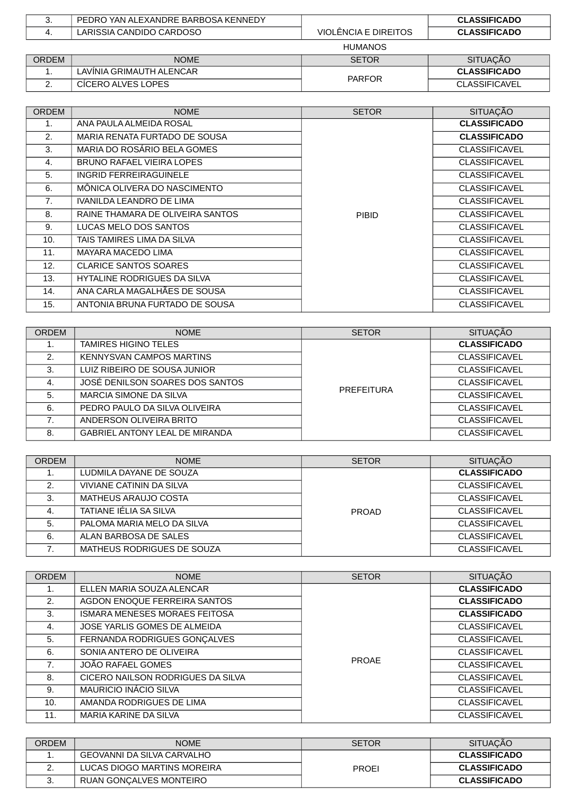| ت            | PEDRO YAN ALEXANDRE BARBOSA KENNEDY |                      | <b>CLASSIFICADO</b>  |
|--------------|-------------------------------------|----------------------|----------------------|
| 4.           | LARISSIA CANDIDO CARDOSO            | VIOLÊNCIA E DIREITOS | <b>CLASSIFICADO</b>  |
|              |                                     | <b>HUMANOS</b>       |                      |
| <b>ORDEM</b> | <b>NOME</b>                         | <b>SETOR</b>         | <b>SITUACÃO</b>      |
| ∸.           | LAVÍNIA GRIMAUTH ALENCAR            |                      | <b>CLASSIFICADO</b>  |
|              | CICERO ALVES LOPES                  | <b>PARFOR</b>        | <b>CLASSIFICAVEL</b> |

| <b>ORDEM</b> | <b>NOME</b>                        | <b>SETOR</b> | <b>SITUAÇÃO</b>      |
|--------------|------------------------------------|--------------|----------------------|
| 1.           | ANA PAULA ALMEIDA ROSAL            |              | <b>CLASSIFICADO</b>  |
| 2.           | MARIA RENATA FURTADO DE SOUSA      |              | <b>CLASSIFICADO</b>  |
| 3.           | MARIA DO ROSÁRIO BELA GOMES        |              | <b>CLASSIFICAVEL</b> |
| 4.           | <b>BRUNO RAFAEL VIEIRA LOPES</b>   |              | <b>CLASSIFICAVEL</b> |
| 5.           | <b>INGRID FERREIRAGUINELE</b>      |              | <b>CLASSIFICAVEL</b> |
| 6.           | MÔNICA OLIVERA DO NASCIMENTO       |              | <b>CLASSIFICAVEL</b> |
| 7.           | IVANILDA LEANDRO DE LIMA           |              | <b>CLASSIFICAVEL</b> |
| 8.           | RAINE THAMARA DE OLIVEIRA SANTOS   | <b>PIBID</b> | <b>CLASSIFICAVEL</b> |
| 9.           | LUCAS MELO DOS SANTOS              |              | <b>CLASSIFICAVEL</b> |
| 10.          | TAIS TAMIRES LIMA DA SILVA         |              | <b>CLASSIFICAVEL</b> |
| 11.          | <b>MAYARA MACEDO LIMA</b>          |              | <b>CLASSIFICAVEL</b> |
| 12.          | <b>CLARICE SANTOS SOARES</b>       |              | <b>CLASSIFICAVEL</b> |
| 13.          | <b>HYTALINE RODRIGUES DA SILVA</b> |              | <b>CLASSIFICAVEL</b> |
| 14.          | ANA CARLA MAGALHÃES DE SOUSA       |              | <b>CLASSIFICAVEL</b> |
| 15.          | ANTONIA BRUNA FURTADO DE SOUSA     |              | <b>CLASSIFICAVEL</b> |

| <b>ORDEM</b> | <b>NOME</b>                           | <b>SETOR</b>      | <b>SITUAÇÃO</b>      |
|--------------|---------------------------------------|-------------------|----------------------|
|              | <b>TAMIRES HIGINO TELES</b>           | <b>PREFEITURA</b> | <b>CLASSIFICADO</b>  |
| 2.           | <b>KENNYSVAN CAMPOS MARTINS</b>       |                   | <b>CLASSIFICAVEL</b> |
| 3.           | LUIZ RIBEIRO DE SOUSA JUNIOR          |                   | <b>CLASSIFICAVEL</b> |
| 4.           | JOSÉ DENILSON SOARES DOS SANTOS       |                   | <b>CLASSIFICAVEL</b> |
| 5.           | MARCIA SIMONE DA SILVA                |                   | <b>CLASSIFICAVEL</b> |
| 6.           | PEDRO PAULO DA SILVA OLIVEIRA         |                   | <b>CLASSIFICAVEL</b> |
|              | ANDERSON OLIVEIRA BRITO               |                   | <b>CLASSIFICAVEL</b> |
| 8.           | <b>GABRIEL ANTONY LEAL DE MIRANDA</b> |                   | <b>CLASSIFICAVEL</b> |

| <b>ORDEM</b> | <b>NOME</b>                | <b>SETOR</b> | <b>SITUAÇÃO</b>      |
|--------------|----------------------------|--------------|----------------------|
|              | LUDMILA DAYANE DE SOUZA    |              | <b>CLASSIFICADO</b>  |
| 2.           | VIVIANE CATININ DA SILVA   |              | <b>CLASSIFICAVEL</b> |
| З.           | MATHEUS ARAUJO COSTA       |              | <b>CLASSIFICAVEL</b> |
| 4.           | TATIANE IÉLIA SA SILVA     | <b>PROAD</b> | <b>CLASSIFICAVEL</b> |
| 5.           | PALOMA MARIA MELO DA SILVA |              | <b>CLASSIFICAVEL</b> |
| 6.           | ALAN BARBOSA DE SALES      |              | <b>CLASSIFICAVEL</b> |
|              | MATHEUS RODRIGUES DE SOUZA |              | <b>CLASSIFICAVEL</b> |

| <b>ORDEM</b> | <b>NOME</b>                          | <b>SETOR</b> | <b>SITUAÇÃO</b>      |
|--------------|--------------------------------------|--------------|----------------------|
| 1.           | ELLEN MARIA SOUZA ALENCAR            |              | <b>CLASSIFICADO</b>  |
| 2.           | AGDON ENOQUE FERREIRA SANTOS         |              | <b>CLASSIFICADO</b>  |
| 3.           | <b>ISMARA MENESES MORAES FEITOSA</b> |              | <b>CLASSIFICADO</b>  |
| 4.           | JOSE YARLIS GOMES DE ALMEIDA         |              | <b>CLASSIFICAVEL</b> |
| 5.           | FERNANDA RODRIGUES GONÇALVES         |              | <b>CLASSIFICAVEL</b> |
| 6.           | SONIA ANTERO DE OLIVEIRA             |              | <b>CLASSIFICAVEL</b> |
| 7.           | JOÃO RAFAEL GOMES                    | <b>PROAE</b> | <b>CLASSIFICAVEL</b> |
| 8.           | CICERO NAILSON RODRIGUES DA SILVA    |              | <b>CLASSIFICAVEL</b> |
| 9.           | MAURICIO INÁCIO SILVA                |              | <b>CLASSIFICAVEL</b> |
| 10.          | AMANDA RODRIGUES DE LIMA             |              | <b>CLASSIFICAVEL</b> |
| 11.          | MARIA KARINE DA SILVA                |              | <b>CLASSIFICAVEL</b> |

| ORDEM       | <b>NOME</b>                 | <b>SETOR</b> | <b>SITUACAO</b>     |
|-------------|-----------------------------|--------------|---------------------|
| -- -        | GEOVANNI DA SILVA CARVALHO  | <b>PROEI</b> | <b>CLASSIFICADO</b> |
| <u>. . </u> | LUCAS DIOGO MARTINS MOREIRA |              | <b>CLASSIFICADO</b> |
| ີ.          | RUAN GONCALVES MONTEIRO     |              | <b>CLASSIFICADO</b> |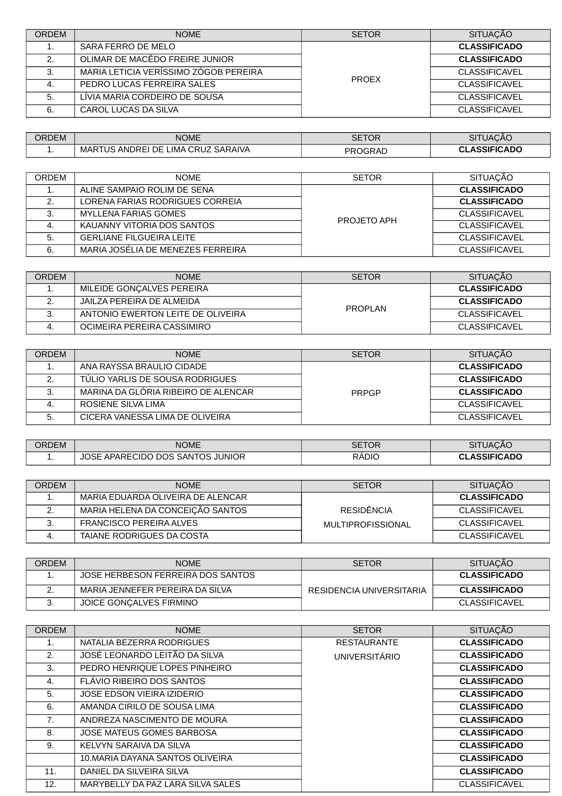| ORDEM | <b>NOME</b>                           | <b>SETOR</b> | <b>SITUACÃO</b>      |
|-------|---------------------------------------|--------------|----------------------|
|       | SARA FERRO DE MELO                    | <b>PROEX</b> | <b>CLASSIFICADO</b>  |
|       | OLIMAR DE MACÊDO FREIRE JUNIOR        |              | <b>CLASSIFICADO</b>  |
|       | MARIA LETICIA VERÍSSIMO ZÓGOB PEREIRA |              | <b>CLASSIFICAVEL</b> |
| 4.    | PEDRO LUCAS FERREIRA SALES            |              | <b>CLASSIFICAVEL</b> |
| 5.    | LÍVIA MARIA CORDEIRO DE SOUSA         |              | <b>CLASSIFICAVEL</b> |
| 6.    | CAROL LUCAS DA SILVA                  |              | <b>CLASSIFICAVEL</b> |

| ORDEM | <b>NOME</b>                                                          | $-$<br>'UR<br>⊩⊐ت | $\sim$ $\sim$<br><b>'JACAL</b>          |
|-------|----------------------------------------------------------------------|-------------------|-----------------------------------------|
| . .   | <b>SARAIVA</b><br>$\cap$ RLL<br><b>IMA</b><br>--<br>MAF<br>⊣ר<br>ANI | <b>PROGRAD</b>    | CADO<br>~-<br>$\ddot{\phantom{m}}$<br>◡ |

| ORDEM | <b>NOME</b>                       | <b>SETOR</b> | <b>SITUACÃO</b>      |
|-------|-----------------------------------|--------------|----------------------|
|       | ALINE SAMPAIO ROLIM DE SENA       | PROJETO APH  | <b>CLASSIFICADO</b>  |
|       | LORENA FARIAS RODRIGUES CORREIA   |              | <b>CLASSIFICADO</b>  |
|       | MYLLENA FARIAS GOMES              |              | <b>CLASSIFICAVEL</b> |
|       | KAUANNY VITORIA DOS SANTOS        |              | <b>CLASSIFICAVEL</b> |
|       | <b>GERLIANE FILGUEIRA LEITE</b>   |              | <b>CLASSIFICAVEL</b> |
|       | MARIA JOSÉLIA DE MENEZES FERREIRA |              | <b>CLASSIFICAVEL</b> |

| ORDEM       | <b>NOME</b>                       | <b>SETOR</b> | <b>SITUACÃO</b>      |
|-------------|-----------------------------------|--------------|----------------------|
| <b>.</b>    | MILEIDE GONCALVES PEREIRA         | PROPLAN      | <b>CLASSIFICADO</b>  |
| <u>. . </u> | JAILZA PEREIRA DE ALMEIDA         |              | <b>CLASSIFICADO</b>  |
|             | ANTONIO EWERTON LEITE DE OLIVEIRA |              | <b>CLASSIFICAVEL</b> |
|             | OCIMEIRA PEREIRA CASSIMIRO        |              | <b>CLASSIFICAVEL</b> |

| ORDEM | <b>NOME</b>                         | <b>SETOR</b> | <b>SITUACÃO</b>      |
|-------|-------------------------------------|--------------|----------------------|
|       | ANA RAYSSA BRAULIO CIDADE           | PRPGP        | <b>CLASSIFICADO</b>  |
|       | TULIO YARLIS DE SOUSA RODRIGUES     |              | <b>CLASSIFICADO</b>  |
|       | MARINA DA GLÓRIA RIBEIRO DE ALENCAR |              | <b>CLASSIFICADO</b>  |
|       | ROSIENE SILVA LIMA                  |              | <b>CLASSIFICAVEL</b> |
|       | CICERA VANESSA LIMA DE OLIVEIRA     |              | <b>CLASSIFICAVEL</b> |

| <b>ORDEM</b> | <b>NOME</b>                                         | <b>SETOR</b> | <b>SITUACAO</b>     |
|--------------|-----------------------------------------------------|--------------|---------------------|
| --           | JUNIOR<br><b>JOSE</b><br>APARECIDO DOS SANT<br>۹TOS | RÁDIC        | <b>CLASSIFICADO</b> |

| ORDFM    | <b>NOMF</b>                       | <b>SETOR</b>      | <b>SITUACAO</b>      |
|----------|-----------------------------------|-------------------|----------------------|
| <b>.</b> | MARIA EDUARDA OLIVEIRA DE ALENCAR |                   | <b>CLASSIFICADO</b>  |
| <u>.</u> | MARIA HELENA DA CONCEIÇÃO SANTOS  | <b>RESIDÊNCIA</b> | <b>CLASSIFICAVEL</b> |
|          | FRANCISCO PEREIRA ALVES           | MULTIPROFISSIONAL | <b>CLASSIFICAVEL</b> |
|          | TAIANE RODRIGUES DA COSTA         |                   | <b>CLASSIFICAVEL</b> |

| ORDEM    | <b>NOME</b>                       | <b>SETOR</b>             | <b>SITUACAO</b>      |
|----------|-----------------------------------|--------------------------|----------------------|
| --       | JOSE HERBESON FERREIRA DOS SANTOS |                          | <b>CLASSIFICADO</b>  |
| <u>.</u> | MARIA JENNEFER PEREIRA DA SILVA   | RESIDENCIA UNIVERSITARIA | <b>CLASSIFICADO</b>  |
|          | JOICE GONCALVES FIRMINO           |                          | <b>CLASSIFICAVEL</b> |

| <b>ORDEM</b>   | <b>NOME</b>                       | <b>SETOR</b>         | <b>SITUAÇÃO</b>      |
|----------------|-----------------------------------|----------------------|----------------------|
| 1.             | NATALIA BEZERRA RODRIGUES         | <b>RESTAURANTE</b>   | <b>CLASSIFICADO</b>  |
| 2.             | JOSÉ LEONARDO LEITÃO DA SILVA     | <b>UNIVERSITÁRIO</b> | <b>CLASSIFICADO</b>  |
| 3.             | PEDRO HENRIQUE LOPES PINHEIRO     |                      | <b>CLASSIFICADO</b>  |
| 4.             | FLÁVIO RIBEIRO DOS SANTOS         |                      | <b>CLASSIFICADO</b>  |
| 5.             | <b>JOSE EDSON VIEIRA IZIDERIO</b> |                      | <b>CLASSIFICADO</b>  |
| 6.             | AMANDA CIRILO DE SOUSA LIMA       |                      | <b>CLASSIFICADO</b>  |
| 7 <sub>1</sub> | ANDREZA NASCIMENTO DE MOURA       |                      | <b>CLASSIFICADO</b>  |
| 8.             | JOSE MATEUS GOMES BARBOSA         |                      | <b>CLASSIFICADO</b>  |
| 9.             | KELVYN SARAIVA DA SILVA           |                      | <b>CLASSIFICADO</b>  |
|                | 10. MARIA DAYANA SANTOS OLIVEIRA  |                      | <b>CLASSIFICADO</b>  |
| 11.            | DANIEL DA SILVEIRA SILVA          |                      | <b>CLASSIFICADO</b>  |
| 12.            | MARYBELLY DA PAZ LARA SILVA SALES |                      | <b>CLASSIFICAVEL</b> |